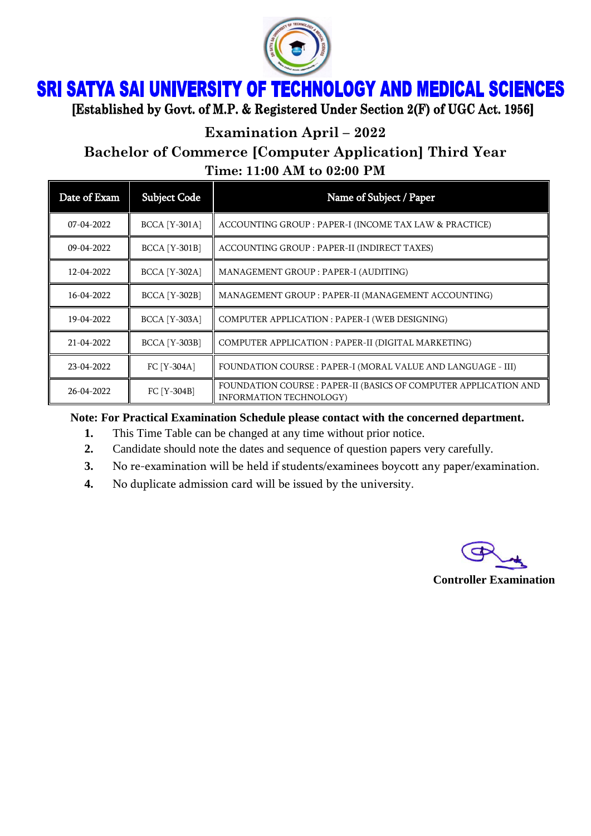

## **SRI SATYA SAI UNIVERSITY OF TECHNOLOGY AND MEDICAL SCIENCES**

[Established by Govt. of M.P. & Registered Under Section 2(F) of UGC Act. 1956]

**Examination April – 2022**

**Bachelor of Commerce [Computer Application] Third Year Time: 11:00 AM to 02:00 PM**

| Date of Exam | <b>Subject Code</b>  | Name of Subject / Paper                                                                            |
|--------------|----------------------|----------------------------------------------------------------------------------------------------|
| $07-04-2022$ | <b>BCCA</b> [Y-301A] | ACCOUNTING GROUP : PAPER-I (INCOME TAX LAW & PRACTICE)                                             |
| 09-04-2022   | <b>BCCA</b> [Y-301B] | ACCOUNTING GROUP : PAPER-II (INDIRECT TAXES)                                                       |
| 12-04-2022   | <b>BCCA</b> [Y-302A] | MANAGEMENT GROUP : PAPER-I (AUDITING)                                                              |
| 16-04-2022   | <b>BCCA</b> [Y-302B] | MANAGEMENT GROUP : PAPER-II (MANAGEMENT ACCOUNTING)                                                |
| 19-04-2022   | <b>BCCA</b> [Y-303A] | COMPUTER APPLICATION : PAPER-I (WEB DESIGNING)                                                     |
| 21-04-2022   | <b>BCCA</b> [Y-303B] | COMPUTER APPLICATION : PAPER-II (DIGITAL MARKETING)                                                |
| 23-04-2022   | FC [Y-304A]          | FOUNDATION COURSE : PAPER-I (MORAL VALUE AND LANGUAGE - III)                                       |
| 26-04-2022   | FC [Y-304B]          | FOUNDATION COURSE : PAPER-II (BASICS OF COMPUTER APPLICATION AND<br><b>INFORMATION TECHNOLOGY)</b> |

**Note: For Practical Examination Schedule please contact with the concerned department.**

- **1.** This Time Table can be changed at any time without prior notice.
- **2.** Candidate should note the dates and sequence of question papers very carefully.
- **3.** No re-examination will be held if students/examinees boycott any paper/examination.
- **4.** No duplicate admission card will be issued by the university.

**Controller Examination**